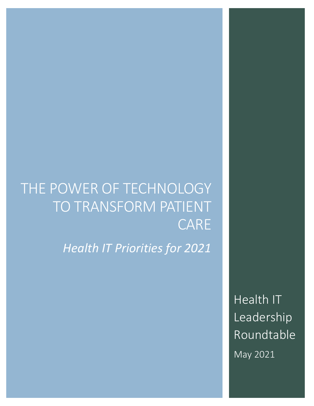# THE POWER OF TECHNOLOGY TO TRANSFORM PATIENT CARE

*Health IT Priorities for 2021*

Health IT Leadership Roundtable May 2021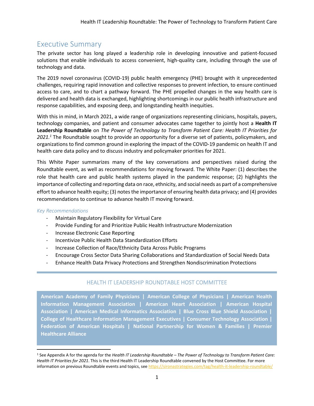## Executive Summary

The private sector has long played a leadership role in developing innovative and patient-focused solutions that enable individuals to access convenient, high-quality care, including through the use of technology and data.

The 2019 novel coronavirus (COVID-19) public health emergency (PHE) brought with it unprecedented challenges, requiring rapid innovation and collective responses to prevent infection, to ensure continued access to care, and to chart a pathway forward. The PHE propelled changes in the way health care is delivered and health data is exchanged, highlighting shortcomings in our public health infrastructure and response capabilities, and exposing deep, and longstanding health inequities.

With this in mind, in March 2021, a wide range of organizations representing clinicians, hospitals, payers, technology companies, and patient and consumer advocates came together to jointly host a **Health IT Leadership Roundtable** on *The Power of Technology to Transform Patient Care: Health IT Priorities for 2021.<sup>1</sup>* The Roundtable sought to provide an opportunity for a diverse set of patients, policymakers, and organizations to find common ground in exploring the impact of the COVID-19 pandemic on health IT and health care data policy and to discuss industry and policymaker priorities for 2021.

This White Paper summarizes many of the key conversations and perspectives raised during the Roundtable event, as well as recommendations for moving forward. The White Paper: (1) describes the role that health care and public health systems played in the pandemic response; (2) highlights the importance of collecting and reporting data on race, ethnicity, and social needs as part of a comprehensive effort to advance health equity; (3) notes the importance of ensuring health data privacy; and (4) provides recommendations to continue to advance health IT moving forward.

#### *Key Recommendations*

- Maintain Regulatory Flexibility for Virtual Care
- Provide Funding for and Prioritize Public Health Infrastructure Modernization
- Increase Electronic Case Reporting
- Incentivize Public Health Data Standardization Efforts
- Increase Collection of Race/Ethnicity Data Across Public Programs
- Encourage Cross Sector Data Sharing Collaborations and Standardization of Social Needs Data
- Enhance Health Data Privacy Protections and Strengthen Nondiscrimination Protections

#### HEALTH IT LEADERSHIP ROUNDTABLE HOST COMMITTEE

**American Academy of Family Physicians | American College of Physicians | American Health Information Management Association | American Heart Association | American Hospital Association | American Medical Informatics Association | Blue Cross Blue Shield Association | College of Healthcare Information Management Executives | Consumer Technology Association | Federation of American Hospitals | National Partnership for Women & Families | Premier Healthcare Alliance**

<sup>1</sup> See Appendix A for the agenda for the *Health IT Leadership Roundtable – The Power of Technology to Transform Patient Care: Health IT Priorities for 2021*. This is the third Health IT Leadership Roundtable convened by the Host Committee. For more information on previous Roundtable events and topics, see<https://sironastrategies.com/tag/health-it-leadership-roundtable/>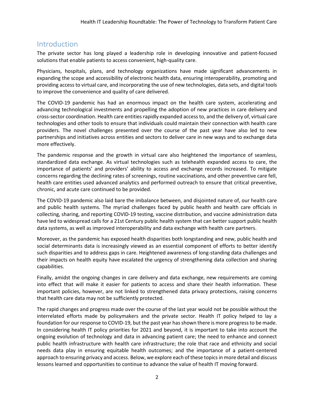### Introduction

The private sector has long played a leadership role in developing innovative and patient-focused solutions that enable patients to access convenient, high-quality care.

Physicians, hospitals, plans, and technology organizations have made significant advancements in expanding the scope and accessibility of electronic health data, ensuring interoperability, promoting and providing access to virtual care, and incorporating the use of new technologies, data sets, and digital tools to improve the convenience and quality of care delivered.

The COVID-19 pandemic has had an enormous impact on the health care system, accelerating and advancing technological investments and propelling the adoption of new practices in care delivery and cross-sector coordination. Health care entities rapidly expanded access to, and the delivery of, virtual care technologies and other tools to ensure that individuals could maintain their connection with health care providers. The novel challenges presented over the course of the past year have also led to new partnerships and initiatives across entities and sectors to deliver care in new ways and to exchange data more effectively.

The pandemic response and the growth in virtual care also heightened the importance of seamless, standardized data exchange. As virtual technologies such as telehealth expanded access to care, the importance of patients' and providers' ability to access and exchange records increased. To mitigate concerns regarding the declining rates of screenings, routine vaccinations, and other preventive care fell, health care entities used advanced analytics and performed outreach to ensure that critical preventive, chronic, and acute care continued to be provided.

The COVID-19 pandemic also laid bare the imbalance between, and disjointed nature of, our health care and public health systems. The myriad challenges faced by public health and health care officials in collecting, sharing, and reporting COVID-19 testing, vaccine distribution, and vaccine administration data have led to widespread calls for a 21st Century public health system that can better support public health data systems, as well as improved interoperability and data exchange with health care partners.

Moreover, as the pandemic has exposed health disparities both longstanding and new, public health and social determinants data is increasingly viewed as an essential component of efforts to better identify such disparities and to address gaps in care. Heightened awareness of long-standing data challenges and their impacts on health equity have escalated the urgency of strengthening data collection and sharing capabilities.

Finally, amidst the ongoing changes in care delivery and data exchange, new requirements are coming into effect that will make it easier for patients to access and share their health information. These important policies, however, are not linked to strengthened data privacy protections, raising concerns that health care data may not be sufficiently protected.

The rapid changes and progress made over the course of the last year would not be possible without the interrelated efforts made by policymakers and the private sector. Health IT policy helped to lay a foundation for our response to COVID-19, but the past year has shown there is more progress to be made. In considering health IT policy priorities for 2021 and beyond, it is important to take into account the ongoing evolution of technology and data in advancing patient care; the need to enhance and connect public health infrastructure with health care infrastructure; the role that race and ethnicity and social needs data play in ensuring equitable health outcomes; and the importance of a patient-centered approach to ensuring privacy and access. Below, we explore each of these topics in more detail and discuss lessons learned and opportunities to continue to advance the value of health IT moving forward.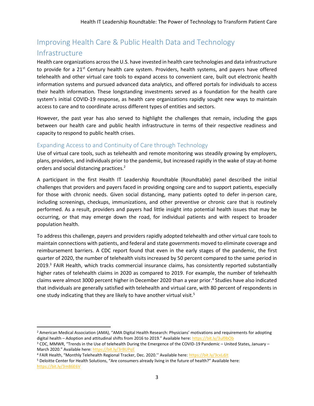## Improving Health Care & Public Health Data and Technology Infrastructure

Health care organizations across the U.S. have invested in health care technologies and data infrastructure to provide for a  $21^{st}$  Century health care system. Providers, health systems, and payers have offered telehealth and other virtual care tools to expand access to convenient care, built out electronic health information systems and pursued advanced data analytics, and offered portals for individuals to access their health information. These longstanding investments served as a foundation for the health care system's initial COVID-19 response, as health care organizations rapidly sought new ways to maintain access to care and to coordinate across different types of entities and sectors.

However, the past year has also served to highlight the challenges that remain, including the gaps between our health care and public health infrastructure in terms of their respective readiness and capacity to respond to public health crises.

#### Expanding Access to and Continuity of Care through Technology

Use of virtual care tools, such as telehealth and remote monitoring was steadily growing by employers, plans, providers, and individuals prior to the pandemic, but increased rapidly in the wake of stay-at-home orders and social distancing practices.<sup>2</sup>

A participant in the first Health IT Leadership Roundtable (Roundtable) panel described the initial challenges that providers and payers faced in providing ongoing care and to support patients, especially for those with chronic needs. Given social distancing, many patients opted to defer in-person care, including screenings, checkups, immunizations, and other preventive or chronic care that is routinely performed. As a result, providers and payers had little insight into potential health issues that may be occurring, or that may emerge down the road, for individual patients and with respect to broader population health.

To address this challenge, payers and providers rapidly adopted telehealth and other virtual care tools to maintain connections with patients, and federal and state governments moved to eliminate coverage and reimbursement barriers. A CDC report found that even in the early stages of the pandemic, the first quarter of 2020, the number of telehealth visits increased by 50 percent compared to the same period in 2019.<sup>3</sup> FAIR Health, which tracks commercial insurance claims, has consistently reported substantially higher rates of telehealth claims in 2020 as compared to 2019. For example, the number of telehealth claims were almost 3000 percent higher in December 2020 than a year prior. 4 Studies have also indicated that individuals are generally satisfied with telehealth and virtual care, with 80 percent of respondents in one study indicating that they are likely to have another virtual visit.<sup>5</sup>

<sup>2</sup> American Medical Association (AMA), "AMA Digital Health Research: Physicians' motivations and requirements for adopting digital health – Adoption and attitudinal shifts from 2016 to 2019." Available here: <https://bit.ly/3ul9bOb>

<sup>3</sup> CDC, MMWR, "Trends in the Use of telehealth During the Emergence of the COVID-19 Pandemic – United States, January – March 2020." Available here: <https://bit.ly/3rBUPqE>

<sup>4</sup> FAIR Health, "Monthly Telehealth Regional Tracker, Dec. 2020.'' Available here: <https://bit.ly/3cxLdJt>

<sup>5</sup> Deloitte Center for Health Solutions, "Are consumers already living in the future of health?" Available here: <https://bit.ly/3m86E6V>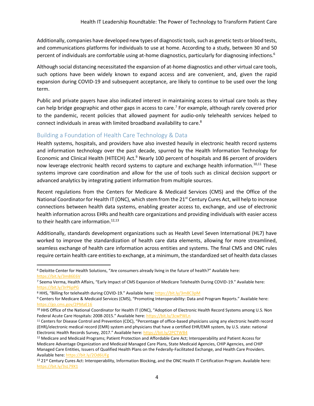Additionally, companies have developed new types of diagnostic tools, such as genetic tests or blood tests, and communications platforms for individuals to use at home. According to a study, between 30 and 50 percent of individuals are comfortable using at-home diagnostics, particularly for diagnosing infections.<sup>6</sup>

Although social distancing necessitated the expansion of at-home diagnostics and other virtual care tools, such options have been widely known to expand access and are convenient, and, given the rapid expansion during COVID-19 and subsequent acceptance, are likely to continue to be used over the long term.

Public and private payers have also indicated interest in maintaining access to virtual care tools as they can help bridge geographic and other gaps in access to care.<sup>7</sup> For example, although rarely covered prior to the pandemic, recent policies that allowed payment for audio-only telehealth services helped to connect individuals in areas with limited broadband availability to care.<sup>8</sup>

#### Building a Foundation of Health Care Technology & Data

Health systems, hospitals, and providers have also invested heavily in electronic health record systems and information technology over the past decade, spurred by the Health Information Technology for Economic and Clinical Health (HITECH) Act.<sup>9</sup> Nearly 100 percent of hospitals and 86 percent of providers now leverage electronic health record systems to capture and exchange health information.<sup>10,11</sup> These systems improve care coordination and allow for the use of tools such as clinical decision support or advanced analytics by integrating patient information from multiple sources.

Recent regulations from the Centers for Medicare & Medicaid Services (CMS) and the Office of the National Coordinator for Health IT (ONC), which stem from the  $21^{st}$  Century Cures Act, will help to increase connections between health data systems, enabling greater access to, exchange, and use of electronic health information across EHRs and health care organizations and providing individuals with easier access to their health care information.<sup>12,13</sup>

Additionally, standards development organizations such as Health Level Seven International (HL7) have worked to improve the standardization of health care data elements, allowing for more streamlined, seamless exchange of health care information across entities and systems. The final CMS and ONC rules require certain health care entities to exchange, at a minimum, the standardized set of health data classes

<sup>6</sup> Deloitte Center for Health Solutions, "Are consumers already living in the future of health?" Available here: <https://bit.ly/3m86E6V>

<sup>7</sup> Seema Verma, Health Affairs, "Early Impact of CMS Expansion of Medicare Telehealth During COVID-19." Available here: <https://bit.ly/3rP6pPG>

<sup>8</sup> HHS, "Billing for telehealth during COVID-19." Available here: <https://bit.ly/3m8C3pM>

<sup>9</sup> Centers for Medicare & Medicaid Services (CMS), "Promoting Interoperability: Data and Program Reports." Available here: <https://go.cms.gov/2PMaE16>

<sup>&</sup>lt;sup>10</sup> HHS Office of the National Coordinator for Health IT (ONC), "Adoption of Electronic Health Record Systems among U.S. Non Federal Acute Care Hospitals: 2008-2015." Available here: <https://bit.ly/3cwPWLn>

<sup>11</sup> Centers for Disease Control and Prevention (CDC), "Percentage of office-based physicians using any electronic health record (EHR)/electronic medical record (EMR) system and physicians that have a certified EHR/EMR system, by U.S. state: national Electronic Health Records Survey, 2017." Available here: <https://bit.ly/2PCTWB4>

<sup>12</sup> Medicare and Medicaid Programs; Patient Protection and Affordable Care Act; Interoperability and Patient Access for Medicare Advantage Organization and Medicaid Managed Care Plans, State Medicaid Agencies, CHIP Agencies, and CHIP Managed Care Entities, Issuers of Qualified Health Plans on the Federally-Facilitated Exchange, and Health Care Providers. Available here[: https://bit.ly/2Od6UFg](https://bit.ly/2Od6UFg)

<sup>13</sup> 21st Century Cures Act: Interoperability, Information Blocking, and the ONC Health IT Certification Program. Available here: <https://bit.ly/3sL79X1>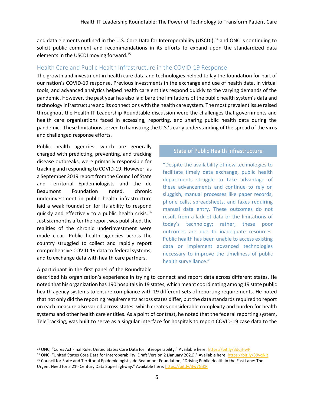and data elements outlined in the U.S. Core Data for Interoperability (USCDI),<sup>14</sup> and ONC is continuing to solicit public comment and recommendations in its efforts to expand upon the standardized data elements in the USCDI moving forward. 15

#### Health Care and Public Health Infrastructure in the COVID-19 Response

The growth and investment in health care data and technologies helped to lay the foundation for part of our nation's COVID-19 response. Previous investments in the exchange and use of health data, in virtual tools, and advanced analytics helped health care entities respond quickly to the varying demands of the pandemic. However, the past year has also laid bare the limitations of the public health system's data and technology infrastructure and its connections with the health care system. The most prevalent issue raised throughout the Health IT Leadership Roundtable discussion were the challenges that governments and health care organizations faced in accessing, reporting, and sharing public health data during the pandemic. These limitations served to hamstring the U.S.'s early understanding of the spread of the virus and challenged response efforts.

Public health agencies, which are generally charged with predicting, preventing, and tracking disease outbreaks, were primarily responsible for tracking and responding to COVID-19. However, as a September 2019 report from the Council of State and Territorial Epidemiologists and the de Beaumont Foundation noted, chronic underinvestment in public health infrastructure laid a weak foundation for its ability to respond quickly and effectively to a public health crisis. 16 Just six months after the report was published, the realities of the chronic underinvestment were made clear. Public health agencies across the country struggled to collect and rapidly report comprehensive COVID-19 data to federal systems, and to exchange data with health care partners.

#### A participant in the first panel of the Roundtable

#### State of Public Health Infrastructure

"Despite the availability of new technologies to facilitate timely data exchange, public health departments struggle to take advantage of these advancements and continue to rely on sluggish, manual processes like paper records, phone calls, spreadsheets, and faxes requiring manual data entry. These outcomes do not result from a lack of data or the limitations of today's technology; rather, these poor outcomes are due to inadequate resources. Public health has been unable to access existing data or implement advanced technologies necessary to improve the timeliness of public health surveillance."

described his organization's experience in trying to connect and report data across different states. He noted that his organization has 190 hospitals in 19 states, which meant coordinating among 19 state public health agency systems to ensure compliance with 19 different sets of reporting requirements. He noted that not only did the reporting requirements across states differ, but the data standards required to report on each measure also varied across states, which creates considerable complexity and burden for health systems and other health care entities. As a point of contrast, he noted that the federal reporting system, TeleTracking, was built to serve as a singular interface for hospitals to report COVID-19 case data to the

<sup>&</sup>lt;sup>14</sup> ONC, "Cures Act Final Rule: United States Core Data for Interoperability." Available here: <https://bit.ly/3dqjHwP>

<sup>15</sup> ONC, "United States Core Data for Interoperability: Draft Version 2 (January 2021)." Available here: <https://bit.ly/39vqNit>

<sup>16</sup> Council for State and Territorial Epidemiologists, de Beaumont Foundation, "Driving Public Health in the Fast Lane: The Urgent Need for a 21<sup>st</sup> Century Data Superhighway." Available here: <https://bit.ly/3w7GjKR>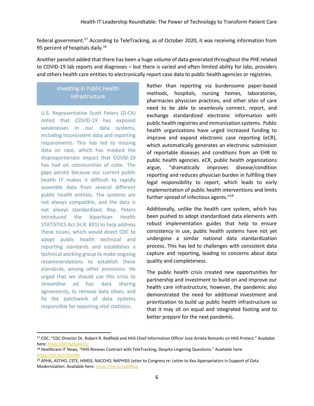federal government.<sup>17</sup> According to TeleTracking, as of October 2020, it was receiving information from 95 percent of hospitals daily.<sup>18</sup>

Another panelist added that there has been a huge volume of data generated throughout the PHE related to COVID-19 lab reports and diagnoses – but there is varied and often limited ability for labs, providers and others health care entities to electronically report case data to public health agencies or registries.

## Investing in Public Health Investing in Public Health Infrastructure Infrastructure

U.S. Representative Scott Peters (D-CA) noted that COVID-19 has exposed weaknesses in our data systems, including inconsistent data and reporting requirements. This has led to missing data on race, which has masked the disproportionate impact that COVID-19 has had on communities of color. The gaps persist because our current public health IT makes it difficult to rapidly assemble data from several different public health entities. The systems are not always compatible, and the data is not always standardized. Rep. Peters introduced the bipartisan Health STATISTICS Act (H.R. 831) to help address these issues, which would direct CDC to adopt public health technical and reporting standards and establishes a technical working group to make ongoing recommendations to establish these standards, among other provisions. He urged that we should use this crisis to streamline ad hoc data sharing agreements, to remove data siloes, and fix the patchwork of data systems responsible for reporting vital statistics.

Rather than reporting via burdensome paper-based methods, hospitals, nursing homes, laboratories, pharmacies physician practices, and other sites of care need to be able to seamlessly connect, report, and exchange standardized electronic information with public health registries and immunization systems. Public health organizations have urged increased funding to improve and expand electronic case reporting (eCR), which automatically generates an electronic submission of reportable diseases and conditions from an EHR to public health agencies. eCR, public health organizations argue, "dramatically improves disease/condition reporting and reduces physician burden in fulfilling their legal responsibility to report, which leads to early implementation of public health interventions and limits further spread of infectious agents."<sup>19</sup>

Additionally, unlike the health care system, which has been pushed to adopt standardized data elements with robust implementation guides that help to ensure consistency in use, public health systems have not yet undergone a similar national data standardization process. This has led to challenges with consistent data capture and reporting, leading to concerns about data quality and completeness.

The public health crisis created new opportunities for partnership and investment to build on and improve our health care infrastructure, however, the pandemic also demonstrated the need for additional investment and prioritization to build up public health infrastructure so that it may sit on equal and integrated footing and to better prepare for the next pandemic.

<sup>17</sup> CDC, "CDC Director Dr. Robert R. Redfield and HHS Chief Information Officer Jose Arrieta Remarks on HHS Protect." Available here[: https://bit.ly/3uex21J](https://bit.ly/3uex21J)

<sup>18</sup> Healthcare IT News, "HHS Renews Contract with TeleTracking, Despite Lingering Questions." Available here: <https://bit.ly/31AznI9v>

<sup>19</sup> APHA, ASTHO, CSTE, HIMSS, NACCHO, NAPHSIS Letter to Congress re: Letter to Key Appropriators in Support of Data Modernization. Available here:<https://bit.ly/3ubNfoq>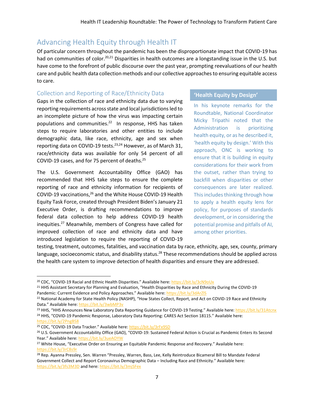## Advancing Health Equity through Health IT

Of particular concern throughout the pandemic has been the disproportionate impact that COVID-19 has had on communities of color.<sup>20,21</sup> Disparities in health outcomes are a longstanding issue in the U.S. but have come to the forefront of public discourse over the past year, prompting reevaluations of our health care and public health data collection methods and our collective approaches to ensuring equitable access to care.

#### Collection and Reporting of Race/Ethnicity Data

Gaps in the collection of race and ethnicity data due to varying reporting requirements across state and local jurisdictions led to an incomplete picture of how the virus was impacting certain populations and communities. <sup>22</sup> In response, HHS has taken steps to require laboratories and other entities to include demographic data, like race, ethnicity, age and sex when reporting data on COVID-19 tests.<sup>23,24</sup> However, as of March 31, race/ethnicity data was available for only 54 percent of all COVID-19 cases, and for 75 percent of deaths.<sup>25</sup>

The U.S. Government Accountability Office (GAO) has recommended that HHS take steps to ensure the complete reporting of race and ethnicity information for recipients of COVID-19 vaccinations,<sup>26</sup> and the White House COVID-19 Health Equity Task Force, created through President Biden's January 21 Executive Order, is drafting recommendations to improve federal data collection to help address COVID-19 health inequities.<sup>27</sup> Meanwhile, members of Congress have called for improved collection of race and ethnicity data and have introduced legislation to require the reporting of COVID-19

#### **'Health Equity by Design'**

In his keynote remarks for the Roundtable, National Coordinator Micky Tripathi noted that the Administration is prioritizing health equity, or as he described it, 'health equity by design.' With this approach, ONC is working to ensure that it is building in equity considerations for their work from the outset, rather than trying to backfill when disparities or other consequences are later realized. This includes thinking through how to apply a health equity lens for policy, for purposes of standards development, or in considering the potential promise and pitfalls of AI, among other priorities.

testing, treatment, outcomes, fatalities, and vaccination data by race, ethnicity, age, sex, county, primary language, socioeconomic status, and disability status.<sup>28</sup> These recommendations should be applied across the health care system to improve detection of health disparities and ensure they are addressed.

<sup>&</sup>lt;sup>20</sup> CDC, "COVID-19 Racial and Ethnic Health Disparities." Available here: <https://bit.ly/3cN9oUx>

<sup>&</sup>lt;sup>21</sup> HHS Assistant Secretary for Planning and Evaluation, "Health Disparities by Race and Ethnicity During the COVID-19 Pandemic: Current Evidence and Policy Approaches." Available here[: https://bit.ly/3dArZlS](https://bit.ly/3dArZlS)

<sup>&</sup>lt;sup>22</sup> National Academy for State Health Policy (NASHP), "How States Collect, Report, and Act on COVID-19 Race and Ethnicity Data." Available here: <https://bit.ly/3wbMP3v>

<sup>&</sup>lt;sup>23</sup> HHS, "HHS Announces New Laboratory Data Reporting Guidance for COVID-19 Testing." Available here: <https://bit.ly/31Atcnx> <sup>24</sup> HHS, "COVID-19 Pandemic Response, Laboratory Data Reporting: CARES Act Section 18115." Available here: <https://bit.ly/2PngBS8>

<sup>25</sup> CDC, "COVID-19 Data Tracker." Available here: <https://bit.ly/3rFx9SD>

<sup>26</sup> U.S. Government Accountability Office (GAO), "COVID-19: Sustained Federal Action is Crucial as Pandemic Enters its Second Year." Available here: <https://bit.ly/3ueAOYW>

<sup>&</sup>lt;sup>27</sup> White House, "Executive Order on Ensuring an Equitable Pandemic Response and Recovery." Available here: <https://bit.ly/3rC8s9r>

<sup>&</sup>lt;sup>28</sup> Rep. Ayanna Pressley, Sen. Warren "Pressley, Warren, Bass, Lee, Kelly Reintroduce Bicameral Bill to Mandate Federal Government Collect and Report Coronavirus Demographic Data – Including Race and Ethnicity." Available here: <https://bit.ly/3fs3M3D> and here[: https://bit.ly/3mjSFex](https://bit.ly/3mjSFex)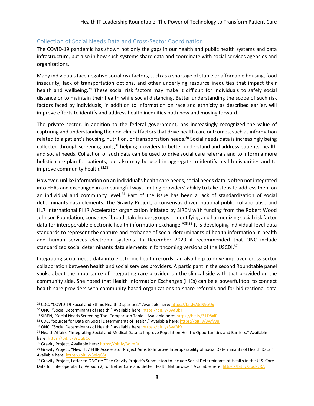#### Collection of Social Needs Data and Cross-Sector Coordination

The COVID-19 pandemic has shown not only the gaps in our health and public health systems and data infrastructure, but also in how such systems share data and coordinate with social services agencies and organizations.

Many individuals face negative social risk factors, such as a shortage of stable or affordable housing, food insecurity, lack of transportation options, and other underlying resource inequities that impact their health and wellbeing.<sup>29</sup> These social risk factors may make it difficult for individuals to safely social distance or to maintain their health while social distancing. Better understanding the scope of such risk factors faced by individuals, in addition to information on race and ethnicity as described earlier, will improve efforts to identify and address health inequities both now and moving forward.

The private sector, in addition to the federal government, has increasingly recognized the value of capturing and understanding the non-clinical factors that drive health care outcomes, such as information related to a patient's housing, nutrition, or transportation needs.<sup>30</sup> Social needs data is increasingly being collected through screening tools,<sup>31</sup> helping providers to better understand and address patients' health and social needs. Collection of such data can be used to drive social care referrals and to inform a more holistic care plan for patients, but also may be used in aggregate to identify health disparities and to improve community health.<sup>32,33</sup>

However, unlike information on an individual's health care needs, social needs data is often not integrated into EHRs and exchanged in a meaningful way, limiting providers' ability to take steps to address them on an individual and community level.<sup>34</sup> Part of the issue has been a lack of standardization of social determinants data elements. The Gravity Project, a consensus-driven national public collaborative and HL7 International FHIR Accelerator organization initiated by SIREN with funding from the Robert Wood Johnson Foundation, convenes "broad stakeholder groups in identifying and harmonizing social risk factor data for interoperable electronic health information exchange."<sup>35,36</sup> It is developing individual-level data standards to represent the capture and exchange of social determinants of health information in health and human services electronic systems. In December 2020 it recommended that ONC include standardized social determinants data elements in forthcoming versions of the USCDI.<sup>37</sup>

Integrating social needs data into electronic health records can also help to drive improved cross-sector collaboration between health and social services providers. A participant in the second Roundtable panel spoke about the importance of integrating care provided on the clinical side with that provided on the community side. She noted that Health Information Exchanges (HIEs) can be a powerful tool to connect health care providers with community-based organizations to share referrals and for bidirectional data

<sup>29</sup> CDC, "COVID-19 Racial and Ethnic Health Disparities." Available here: <https://bit.ly/3cN9oUx>

<sup>30</sup> ONC, "Social Determinants of Health." Available here: <https://bit.ly/3wfBkYI>

<sup>31</sup> SIREN, "Social Needs Screening Tool Comparison Table." Available here: <https://bit.ly/31D8xiP>

<sup>32</sup> CDC, "Sources for Data on Social Determinants of Health." Available here: <https://bit.ly/3wfvvul>

<sup>33</sup> ONC, "Social Determinants of Health." Available here: <https://bit.ly/3wfBkYI>

<sup>34</sup> Health Affairs, "Integrating Social and Medical Data to Improve Population Health: Opportunities and Barriers." Available here[: https://bit.ly/3sOqBCo](https://bit.ly/3sOqBCo)

<sup>35</sup> Gravity Project. Available here[: https://bit.ly/3dlmDul](https://bit.ly/3dlmDul)

<sup>&</sup>lt;sup>36</sup> Gravity Project, "New HL7 FHIR Accelerator Project Aims to Improve Interoperability of Social Determinants of Health Data." Available here[: https://bit.ly/3eIqGSt](https://bit.ly/3eIqGSt)

<sup>37</sup> Gravity Project, Letter to ONC re: "The Gravity Project's Submission to Include Social Determinants of Health in the U.S. Core Data for Interoperability, Version 2, for Better Care and Better Health Nationwide." Available here: <https://bit.ly/3ucPgRA>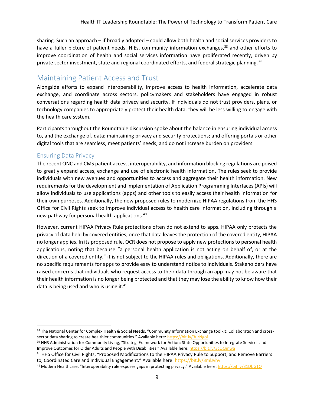sharing. Such an approach – if broadly adopted – could allow both health and social services providers to have a fuller picture of patient needs. HIEs, community information exchanges,<sup>38</sup> and other efforts to improve coordination of health and social services information have proliferated recently, driven by private sector investment, state and regional coordinated efforts, and federal strategic planning.<sup>39</sup>

## Maintaining Patient Access and Trust

Alongside efforts to expand interoperability, improve access to health information, accelerate data exchange, and coordinate across sectors, policymakers and stakeholders have engaged in robust conversations regarding health data privacy and security. If individuals do not trust providers, plans, or technology companies to appropriately protect their health data, they will be less willing to engage with the health care system.

Participants throughout the Roundtable discussion spoke about the balance in ensuring individual access to, and the exchange of, data; maintaining privacy and security protections; and offering portals or other digital tools that are seamless, meet patients' needs, and do not increase burden on providers.

#### Ensuring Data Privacy

The recent ONC and CMS patient access, interoperability, and information blocking regulations are poised to greatly expand access, exchange and use of electronic health information. The rules seek to provide individuals with new avenues and opportunities to access and aggregate their health information. New requirements for the development and implementation of Application Programming Interfaces (APIs) will allow individuals to use applications (apps) and other tools to easily access their health information for their own purposes. Additionally, the new proposed rules to modernize HIPAA regulations from the HHS Office for Civil Rights seek to improve individual access to health care information, including through a new pathway for personal health applications.<sup>40</sup>

However, current HIPAA Privacy Rule protections often do not extend to apps. HIPAA only protects the privacy of data held by covered entities; once that data leaves the protection of the covered entity, HIPAA no longer applies. In its proposed rule, OCR does not propose to apply new protections to personal health applications, noting that because "a personal health application is not acting on behalf of, or at the direction of a covered entity," it is not subject to the HIPAA rules and obligations. Additionally, there are no specific requirements for apps to provide easy to understand notice to individuals. Stakeholders have raised concerns that individuals who request access to their data through an app may not be aware that their health information is no longer being protected and that they may lose the ability to know how their data is being used and who is using it. $41$ 

<sup>38</sup> The National Center for Complex Health & Social Needs, "Community Information Exchange toolkit: Collaboration and crosssector data sharing to create healthier communities." Available here: <https://bit.ly/3urNgoi>

<sup>&</sup>lt;sup>39</sup> HHS Administration for Community Living, "Strategi Framework for Action: State Opportunities to Integrate Services and Improve Outcomes for Older Adults and People with Disabilities." Available here: <https://bit.ly/3cQQmwa>

<sup>&</sup>lt;sup>40</sup> HHS Office for Civil Rights, "Proposed Modifications to the HIPAA Privacy Rule to Support, and Remove Barriers to, Coordinated Care and Individual Engagement." Available here: <https://bit.ly/3mlJvhy>

<sup>41</sup> Modern Healthcare, "Interoperability rule exposes gaps in protecting privacy." Available here: https://bit.ly/31DbG10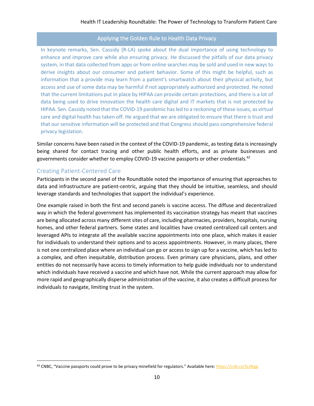#### Applying the Golden Rule to Health Data Privacy

In keynote remarks, Sen. Cassidy (R-LA) spoke about the dual importance of using technology to enhance and improve care while also ensuring privacy. He discussed the pitfalls of our data privacy system, in that data collected from apps or from online searches may be sold and used in new ways to derive insights about our consumer and patient behavior. Some of this might be helpful, such as information that a provide may learn from a patient's smartwatch about their physical activity, but access and use of some data may be harmful if not appropriately authorized and protected. He noted that the current limitations put in place by HIPAA can provide certain protections, and there is a lot of data being used to drive innovation the health care digital and IT markets that is not protected by HIPAA. Sen. Cassidy noted that the COVID-19 pandemic has led to a reckoning of these issues, as virtual care and digital health has taken off. He argued that we are obligated to ensure that there is trust and that our sensitive information will be protected and that Congress should pass comprehensive federal privacy legislation.

Similar concerns have been raised in the context of the COVID-19 pandemic, as testing data is increasingly being shared for contact tracing and other public health efforts, and as private businesses and governments consider whether to employ COVID-19 vaccine passports or other credentials.<sup>42</sup>

#### Creating Patient-Centered Care

Participants in the second panel of the Roundtable noted the importance of ensuring that approaches to data and infrastructure are patient-centric, arguing that they should be intuitive, seamless, and should leverage standards and technologies that support the individual's experience.

One example raised in both the first and second panels is vaccine access. The diffuse and decentralized way in which the federal government has implemented its vaccination strategy has meant that vaccines are being allocated across many different sites of care, including pharmacies, providers, hospitals, nursing homes, and other federal partners. Some states and localities have created centralized call centers and leveraged APIs to integrate all the available vaccine appointments into one place, which makes it easier for individuals to understand their options and to access appointments. However, in many places, there is not one centralized place where an individual can go or access to sign up for a vaccine, which has led to a complex, and often inequitable, distribution process. Even primary care physicians, plans, and other entities do not necessarily have access to timely information to help guide individuals nor to understand which individuals have received a vaccine and which have not. While the current approach may allow for more rapid and geographically disperse administration of the vaccine, it also creates a difficult process for individuals to navigate, limiting trust in the system.

<sup>42</sup> CNBC, "Vaccine passports could prove to be privacy minefield for regulators." Available here: <https://cnb.cx/3cJlKgp>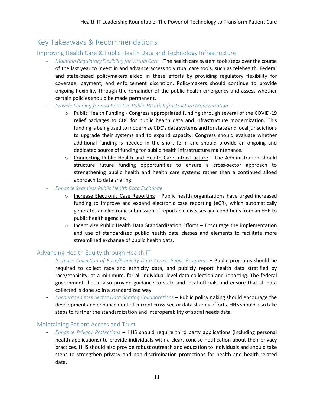## Key Takeaways & Recommendations

#### Improving Health Care & Public Health Data and Technology Infrastructure

- *Maintain Regulatory Flexibility for Virtual Care* The health care system took steps over the course of the last year to invest in and advance access to virtual care tools, such as telehealth. Federal and state-based policymakers aided in these efforts by providing regulatory flexibility for coverage, payment, and enforcement discretion. Policymakers should continue to provide ongoing flexibility through the remainder of the public health emergency and assess whether certain policies should be made permanent.
- *Provide Funding for and Prioritize Public Health Infrastructure Modernization –*
	- o Public Health Funding Congress appropriated funding through several of the COVID-19 relief packages to CDC for public health data and infrastructure modernization. This funding is being used to modernize CDC's data systems and forstate and local jurisdictions to upgrade their systems and to expand capacity. Congress should evaluate whether additional funding is needed in the short term and should provide an ongoing and dedicated source of funding for public health infrastructure maintenance.
	- o Connecting Public Health and Health Care Infrastructure The Administration should structure future funding opportunities to ensure a cross-sector approach to strengthening public health and health care systems rather than a continued siloed approach to data sharing.
- *Enhance Seamless Public Health Data Exchange*
	- $\circ$  Increase Electronic Case Reporting Public health organizations have urged increased funding to improve and expand electronic case reporting (eCR), which automatically generates an electronic submission of reportable diseases and conditions from an EHR to public health agencies.
	- o Incentivize Public Health Data Standardization Efforts Encourage the implementation and use of standardized public health data classes and elements to facilitate more streamlined exchange of public health data.

#### Advancing Health Equity through Health IT

- *Increase Collection of Race/Ethnicity Data Across Public Programs* **–** Public programs should be required to collect race and ethnicity data, and publicly report health data stratified by race/ethnicity, at a minimum, for all individual-level data collection and reporting. The federal government should also provide guidance to state and local officials and ensure that all data collected is done so in a standardized way.
- *Encourage Cross Sector Data Sharing Collaborations* **–** Public policymaking should encourage the development and enhancement of current cross-sector data sharing efforts. HHS should also take steps to further the standardization and interoperability of social needs data.

#### Maintaining Patient Access and Trust

- *Enhance Privacy Protections* – HHS should require third party applications (including personal health applications) to provide individuals with a clear, concise notification about their privacy practices. HHS should also provide robust outreach and education to individuals and should take steps to strengthen privacy and non-discrimination protections for health and health-related data.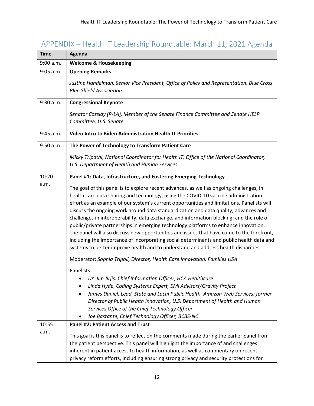# APPENDIX – Health IT Leadership Roundtable: March 11, 2021 Agenda

| <b>Time</b> | Agenda                                                                                                                                                                                                                                                                                                                                                                                                                                                                                                                                                                                                                                                                                                                                                                                                                               |
|-------------|--------------------------------------------------------------------------------------------------------------------------------------------------------------------------------------------------------------------------------------------------------------------------------------------------------------------------------------------------------------------------------------------------------------------------------------------------------------------------------------------------------------------------------------------------------------------------------------------------------------------------------------------------------------------------------------------------------------------------------------------------------------------------------------------------------------------------------------|
| 9:00 a.m.   | <b>Welcome &amp; Housekeeping</b>                                                                                                                                                                                                                                                                                                                                                                                                                                                                                                                                                                                                                                                                                                                                                                                                    |
| 9:05 a.m.   | <b>Opening Remarks</b>                                                                                                                                                                                                                                                                                                                                                                                                                                                                                                                                                                                                                                                                                                                                                                                                               |
|             | Justine Handelman, Senior Vice President, Office of Policy and Representation, Blue Cross<br><b>Blue Shield Association</b>                                                                                                                                                                                                                                                                                                                                                                                                                                                                                                                                                                                                                                                                                                          |
| 9:30 a.m.   | <b>Congressional Keynote</b>                                                                                                                                                                                                                                                                                                                                                                                                                                                                                                                                                                                                                                                                                                                                                                                                         |
|             | Senator Cassidy (R-LA), Member of the Senate Finance Committee and Senate HELP<br>Committee, U.S. Senate                                                                                                                                                                                                                                                                                                                                                                                                                                                                                                                                                                                                                                                                                                                             |
| 9:45 a.m.   | <b>Video Intro to Biden Administration Health IT Priorities</b>                                                                                                                                                                                                                                                                                                                                                                                                                                                                                                                                                                                                                                                                                                                                                                      |
| 9:50 a.m.   | The Power of Technology to Transform Patient Care                                                                                                                                                                                                                                                                                                                                                                                                                                                                                                                                                                                                                                                                                                                                                                                    |
|             | Micky Tripathi, National Coordinator for Health IT, Office of the National Coordinator,<br>U.S. Department of Health and Human Services                                                                                                                                                                                                                                                                                                                                                                                                                                                                                                                                                                                                                                                                                              |
| 10:20       | Panel #1: Data, Infrastructure, and Fostering Emerging Technology                                                                                                                                                                                                                                                                                                                                                                                                                                                                                                                                                                                                                                                                                                                                                                    |
| a.m.        | The goal of this panel is to explore recent advances, as well as ongoing challenges, in<br>health care data sharing and technology, using the COVID-10 vaccine administration<br>effort as an example of our system's current opportunities and limitations. Panelists will<br>discuss the ongoing work around data standardization and data quality; advances and<br>challenges in interoperability, data exchange, and information blocking; and the role of<br>public/private partnerships in emerging technology platforms to enhance innovation.<br>The panel will also discuss new opportunities and issues that have come to the forefront,<br>including the importance of incorporating social determinants and public health data and<br>systems to better improve health and to understand and address health disparities. |
|             | Moderator: Sophia Tripoli, Director, Health Care Innovation, Families USA                                                                                                                                                                                                                                                                                                                                                                                                                                                                                                                                                                                                                                                                                                                                                            |
|             | Panelists:<br>Dr. Jim Jirjis, Chief Information Officer, HCA Healthcare<br>Linda Hyde, Coding Systems Expert, EMI Advisors/Gravity Project<br>James Daniel, Lead, State and Local Public Health, Amazon Web Services; former<br>Director of Public Health Innovation, U.S. Department of Health and Human<br>Services Office of the Chief Technology Officer<br>Joe Bastante, Chief Technology Officer, BCBS-NC                                                                                                                                                                                                                                                                                                                                                                                                                      |
| 10:55       | <b>Panel #2: Patient Access and Trust</b>                                                                                                                                                                                                                                                                                                                                                                                                                                                                                                                                                                                                                                                                                                                                                                                            |
| a.m.        | This goal is this panel is to reflect on the comments made during the earlier panel from<br>the patient perspective. This panel will highlight the importance of and challenges<br>inherent in patient access to health information, as well as commentary on recent<br>privacy reform efforts, including ensuring strong privacy and security protections for                                                                                                                                                                                                                                                                                                                                                                                                                                                                       |